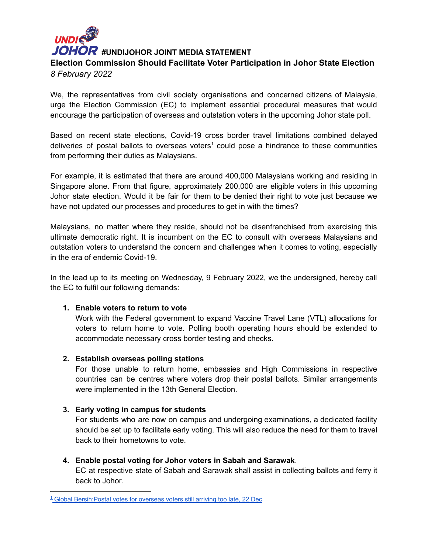# **UNDIS #UNDIJOHOR JOINT MEDIA STATEMENT Election Commission Should Facilitate Voter Participation in Johor State Election** *8 February 2022*

We, the representatives from civil society organisations and concerned citizens of Malaysia, urge the Election Commission (EC) to implement essential procedural measures that would encourage the participation of overseas and outstation voters in the upcoming Johor state poll.

Based on recent state elections, Covid-19 cross border travel limitations combined delayed deliveries of postal ballots to overseas voters<sup>1</sup> could pose a hindrance to these communities from performing their duties as Malaysians.

For example, it is estimated that there are around 400,000 Malaysians working and residing in Singapore alone. From that figure, approximately 200,000 are eligible voters in this upcoming Johor state election. Would it be fair for them to be denied their right to vote just because we have not updated our processes and procedures to get in with the times?

Malaysians, no matter where they reside, should not be disenfranchised from exercising this ultimate democratic right. It is incumbent on the EC to consult with overseas Malaysians and outstation voters to understand the concern and challenges when it comes to voting, especially in the era of endemic Covid-19.

In the lead up to its meeting on Wednesday, 9 February 2022, we the undersigned, hereby call the EC to fulfil our following demands:

## **1. Enable voters to return to vote**

Work with the Federal government to expand Vaccine Travel Lane (VTL) allocations for voters to return home to vote. Polling booth operating hours should be extended to accommodate necessary cross border testing and checks.

#### **2. Establish overseas polling stations**

For those unable to return home, embassies and High Commissions in respective countries can be centres where voters drop their postal ballots. Similar arrangements were implemented in the 13th General Election.

#### **3. Early voting in campus for students**

For students who are now on campus and undergoing examinations, a dedicated facility should be set up to facilitate early voting. This will also reduce the need for them to travel back to their hometowns to vote.

#### **4. Enable postal voting for Johor voters in Sabah and Sarawak**.

EC at respective state of Sabah and Sarawak shall assist in collecting ballots and ferry it back to Johor.

<sup>&</sup>lt;sup>1</sup> Global Bersih: Postal votes for overseas voters still arriving too late, 22 Dec